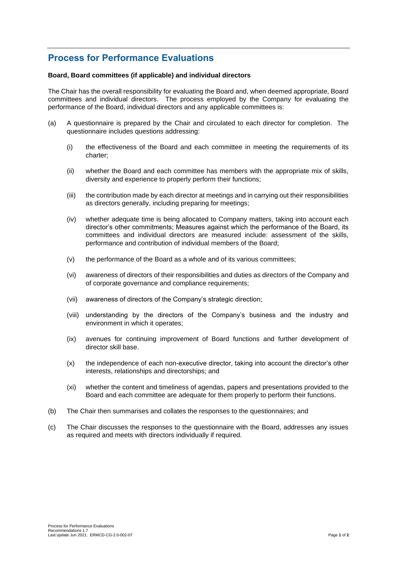# **Process for Performance Evaluations**

# **Board, Board committees (if applicable) and individual directors**

The Chair has the overall responsibility for evaluating the Board and, when deemed appropriate, Board committees and individual directors. The process employed by the Company for evaluating the performance of the Board, individual directors and any applicable committees is:

- (a) A questionnaire is prepared by the Chair and circulated to each director for completion. The questionnaire includes questions addressing:
	- (i) the effectiveness of the Board and each committee in meeting the requirements of its charter;
	- (ii) whether the Board and each committee has members with the appropriate mix of skills, diversity and experience to properly perform their functions;
	- (iii) the contribution made by each director at meetings and in carrying out their responsibilities as directors generally, including preparing for meetings;
	- (iv) whether adequate time is being allocated to Company matters, taking into account each director's other commitments; Measures against which the performance of the Board, its committees and individual directors are measured include: assessment of the skills, performance and contribution of individual members of the Board;
	- (v) the performance of the Board as a whole and of its various committees;
	- (vi) awareness of directors of their responsibilities and duties as directors of the Company and of corporate governance and compliance requirements;
	- (vii) awareness of directors of the Company's strategic direction;
	- (viii) understanding by the directors of the Company's business and the industry and environment in which it operates;
	- (ix) avenues for continuing improvement of Board functions and further development of director skill base.
	- (x) the independence of each non-executive director, taking into account the director's other interests, relationships and directorships; and
	- (xi) whether the content and timeliness of agendas, papers and presentations provided to the Board and each committee are adequate for them properly to perform their functions.
- (b) The Chair then summarises and collates the responses to the questionnaires; and
- (c) The Chair discusses the responses to the questionnaire with the Board, addresses any issues as required and meets with directors individually if required.